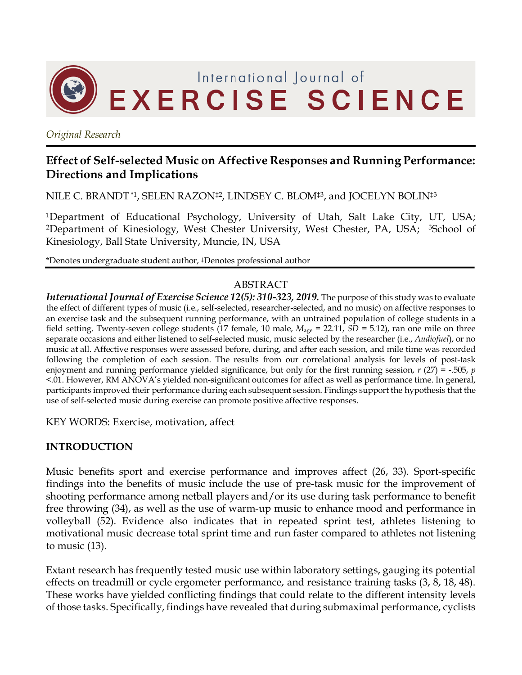

*Original Research*

# **Effect of Self-selected Music on Affective Responses and Running Performance: Directions and Implications**

NILE C. BRANDT<sup>\*1</sup>, SELEN RAZON<sup>‡2</sup>, LINDSEY C. BLOM<sup>‡3</sup>, and JOCELYN BOLIN<sup>‡3</sup>

1Department of Educational Psychology, University of Utah, Salt Lake City, UT, USA; <sup>2</sup>Department of Kinesiology, West Chester University, West Chester, PA, USA; <sup>3</sup>School of Kinesiology, Ball State University, Muncie, IN, USA

\*Denotes undergraduate student author, ‡Denotes professional author

#### ABSTRACT

*International Journal of Exercise Science 12(5): 310-323, 2019.* The purpose of this study was to evaluate the effect of different types of music (i.e., self-selected, researcher-selected, and no music) on affective responses to an exercise task and the subsequent running performance, with an untrained population of college students in a field setting. Twenty-seven college students (17 female, 10 male, *M*age = 22.11, *SD* = 5.12), ran one mile on three separate occasions and either listened to self-selected music, music selected by the researcher (i.e., *Audiofuel*), or no music at all. Affective responses were assessed before, during, and after each session, and mile time was recorded following the completion of each session. The results from our correlational analysis for levels of post-task enjoyment and running performance yielded significance, but only for the first running session, *r* (27) = -.505, *p* <.01. However, RM ANOVA's yielded non-significant outcomes for affect as well as performance time. In general, participants improved their performance during each subsequent session. Findings support the hypothesis that the use of self-selected music during exercise can promote positive affective responses.

KEY WORDS: Exercise, motivation, affect

## **INTRODUCTION**

Music benefits sport and exercise performance and improves affect (26, 33). Sport-specific findings into the benefits of music include the use of pre-task music for the improvement of shooting performance among netball players and/or its use during task performance to benefit free throwing (34), as well as the use of warm-up music to enhance mood and performance in volleyball (52). Evidence also indicates that in repeated sprint test, athletes listening to motivational music decrease total sprint time and run faster compared to athletes not listening to music (13).

Extant research has frequently tested music use within laboratory settings, gauging its potential effects on treadmill or cycle ergometer performance, and resistance training tasks (3, 8, 18, 48). These works have yielded conflicting findings that could relate to the different intensity levels of those tasks. Specifically, findings have revealed that during submaximal performance, cyclists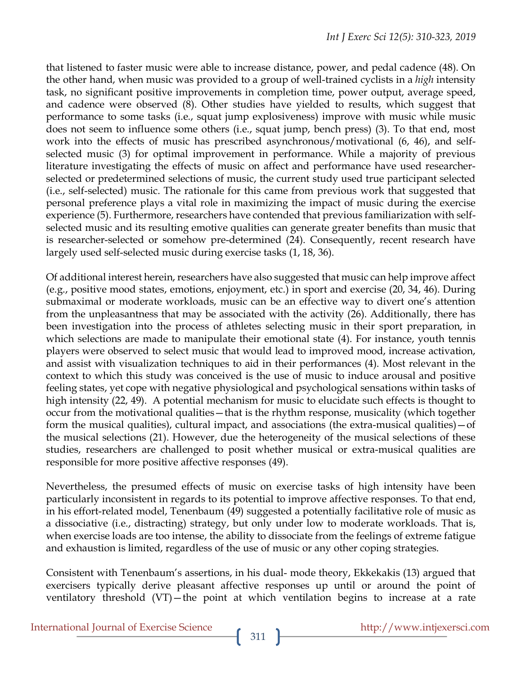that listened to faster music were able to increase distance, power, and pedal cadence (48). On the other hand, when music was provided to a group of well-trained cyclists in a *high* intensity task, no significant positive improvements in completion time, power output, average speed, and cadence were observed (8). Other studies have yielded to results, which suggest that performance to some tasks (i.e., squat jump explosiveness) improve with music while music does not seem to influence some others (i.e., squat jump, bench press) (3). To that end, most work into the effects of music has prescribed asynchronous/motivational (6, 46), and selfselected music (3) for optimal improvement in performance. While a majority of previous literature investigating the effects of music on affect and performance have used researcherselected or predetermined selections of music, the current study used true participant selected (i.e., self-selected) music. The rationale for this came from previous work that suggested that personal preference plays a vital role in maximizing the impact of music during the exercise experience (5). Furthermore, researchers have contended that previous familiarization with selfselected music and its resulting emotive qualities can generate greater benefits than music that is researcher-selected or somehow pre-determined (24). Consequently, recent research have largely used self-selected music during exercise tasks (1, 18, 36).

Of additional interest herein, researchers have also suggested that music can help improve affect (e.g., positive mood states, emotions, enjoyment, etc.) in sport and exercise (20, 34, 46). During submaximal or moderate workloads, music can be an effective way to divert one's attention from the unpleasantness that may be associated with the activity (26). Additionally, there has been investigation into the process of athletes selecting music in their sport preparation, in which selections are made to manipulate their emotional state (4). For instance, youth tennis players were observed to select music that would lead to improved mood, increase activation, and assist with visualization techniques to aid in their performances (4). Most relevant in the context to which this study was conceived is the use of music to induce arousal and positive feeling states, yet cope with negative physiological and psychological sensations within tasks of high intensity (22, 49). A potential mechanism for music to elucidate such effects is thought to occur from the motivational qualities—that is the rhythm response, musicality (which together form the musical qualities), cultural impact, and associations (the extra-musical qualities)—of the musical selections (21). However, due the heterogeneity of the musical selections of these studies, researchers are challenged to posit whether musical or extra-musical qualities are responsible for more positive affective responses (49).

Nevertheless, the presumed effects of music on exercise tasks of high intensity have been particularly inconsistent in regards to its potential to improve affective responses. To that end, in his effort-related model, Tenenbaum (49) suggested a potentially facilitative role of music as a dissociative (i.e., distracting) strategy, but only under low to moderate workloads. That is, when exercise loads are too intense, the ability to dissociate from the feelings of extreme fatigue and exhaustion is limited, regardless of the use of music or any other coping strategies.

Consistent with Tenenbaum's assertions, in his dual- mode theory, Ekkekakis (13) argued that exercisers typically derive pleasant affective responses up until or around the point of ventilatory threshold (VT)—the point at which ventilation begins to increase at a rate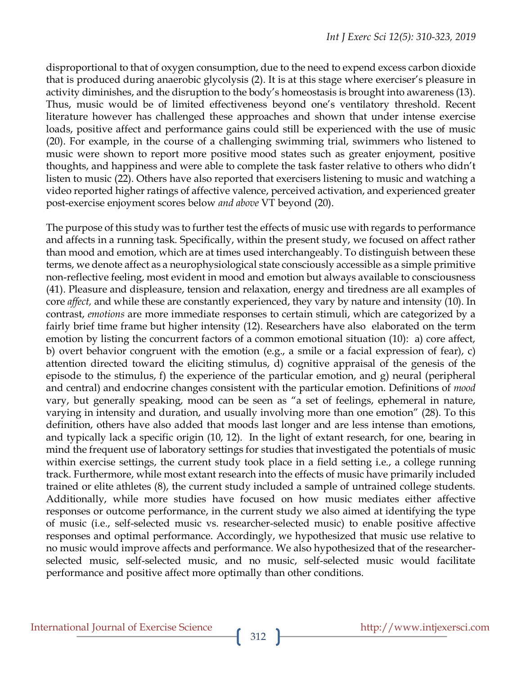disproportional to that of oxygen consumption, due to the need to expend excess carbon dioxide that is produced during anaerobic glycolysis (2). It is at this stage where exerciser's pleasure in activity diminishes, and the disruption to the body's homeostasis is brought into awareness (13). Thus, music would be of limited effectiveness beyond one's ventilatory threshold. Recent literature however has challenged these approaches and shown that under intense exercise loads, positive affect and performance gains could still be experienced with the use of music (20). For example, in the course of a challenging swimming trial, swimmers who listened to music were shown to report more positive mood states such as greater enjoyment, positive thoughts, and happiness and were able to complete the task faster relative to others who didn't listen to music (22). Others have also reported that exercisers listening to music and watching a video reported higher ratings of affective valence, perceived activation, and experienced greater post-exercise enjoyment scores below *and above* VT beyond (20).

The purpose of this study was to further test the effects of music use with regards to performance and affects in a running task. Specifically, within the present study, we focused on affect rather than mood and emotion, which are at times used interchangeably. To distinguish between these terms, we denote affect as a neurophysiological state consciously accessible as a simple primitive non-reflective feeling, most evident in mood and emotion but always available to consciousness (41). Pleasure and displeasure, tension and relaxation, energy and tiredness are all examples of core *affect,* and while these are constantly experienced, they vary by nature and intensity (10). In contrast, *emotions* are more immediate responses to certain stimuli, which are categorized by a fairly brief time frame but higher intensity (12). Researchers have also elaborated on the term emotion by listing the concurrent factors of a common emotional situation (10): a) core affect, b) overt behavior congruent with the emotion (e.g., a smile or a facial expression of fear), c) attention directed toward the eliciting stimulus, d) cognitive appraisal of the genesis of the episode to the stimulus, f) the experience of the particular emotion, and g) neural (peripheral and central) and endocrine changes consistent with the particular emotion. Definitions of *mood* vary, but generally speaking, mood can be seen as "a set of feelings, ephemeral in nature, varying in intensity and duration, and usually involving more than one emotion" (28). To this definition, others have also added that moods last longer and are less intense than emotions, and typically lack a specific origin (10, 12). In the light of extant research, for one, bearing in mind the frequent use of laboratory settings for studies that investigated the potentials of music within exercise settings, the current study took place in a field setting i.e., a college running track. Furthermore, while most extant research into the effects of music have primarily included trained or elite athletes (8), the current study included a sample of untrained college students. Additionally, while more studies have focused on how music mediates either affective responses or outcome performance, in the current study we also aimed at identifying the type of music (i.e., self-selected music vs. researcher-selected music) to enable positive affective responses and optimal performance. Accordingly, we hypothesized that music use relative to no music would improve affects and performance. We also hypothesized that of the researcherselected music, self-selected music, and no music, self-selected music would facilitate performance and positive affect more optimally than other conditions.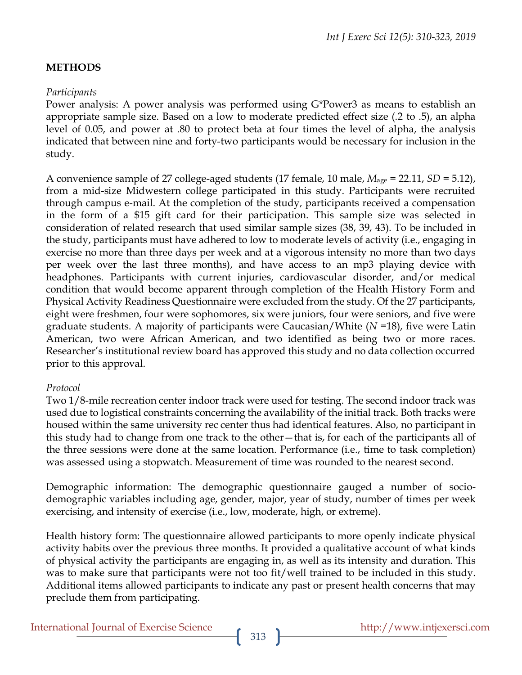# **METHODS**

## *Participants*

Power analysis: A power analysis was performed using G\*Power3 as means to establish an appropriate sample size. Based on a low to moderate predicted effect size (.2 to .5), an alpha level of 0.05, and power at .80 to protect beta at four times the level of alpha, the analysis indicated that between nine and forty-two participants would be necessary for inclusion in the study.

A convenience sample of 27 college-aged students (17 female, 10 male, *M*age = 22.11, *SD* = 5.12), from a mid-size Midwestern college participated in this study. Participants were recruited through campus e-mail. At the completion of the study, participants received a compensation in the form of a \$15 gift card for their participation. This sample size was selected in consideration of related research that used similar sample sizes (38, 39, 43). To be included in the study, participants must have adhered to low to moderate levels of activity (i.e., engaging in exercise no more than three days per week and at a vigorous intensity no more than two days per week over the last three months), and have access to an mp3 playing device with headphones. Participants with current injuries, cardiovascular disorder, and/or medical condition that would become apparent through completion of the Health History Form and Physical Activity Readiness Questionnaire were excluded from the study. Of the 27 participants, eight were freshmen, four were sophomores, six were juniors, four were seniors, and five were graduate students. A majority of participants were Caucasian/White (*N* =18), five were Latin American, two were African American, and two identified as being two or more races. Researcher's institutional review board has approved this study and no data collection occurred prior to this approval.

#### *Protocol*

Two 1/8-mile recreation center indoor track were used for testing. The second indoor track was used due to logistical constraints concerning the availability of the initial track. Both tracks were housed within the same university rec center thus had identical features. Also, no participant in this study had to change from one track to the other—that is, for each of the participants all of the three sessions were done at the same location. Performance (i.e., time to task completion) was assessed using a stopwatch. Measurement of time was rounded to the nearest second.

Demographic information: The demographic questionnaire gauged a number of sociodemographic variables including age, gender, major, year of study, number of times per week exercising, and intensity of exercise (i.e., low, moderate, high, or extreme).

Health history form: The questionnaire allowed participants to more openly indicate physical activity habits over the previous three months. It provided a qualitative account of what kinds of physical activity the participants are engaging in, as well as its intensity and duration. This was to make sure that participants were not too fit/well trained to be included in this study. Additional items allowed participants to indicate any past or present health concerns that may preclude them from participating.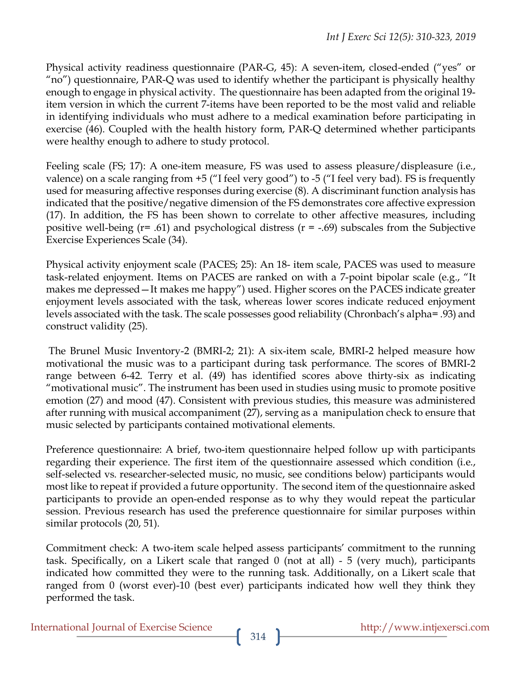Physical activity readiness questionnaire (PAR-G, 45): A seven-item, closed-ended ("yes" or "no") questionnaire, PAR-Q was used to identify whether the participant is physically healthy enough to engage in physical activity. The questionnaire has been adapted from the original 19 item version in which the current 7-items have been reported to be the most valid and reliable in identifying individuals who must adhere to a medical examination before participating in exercise (46). Coupled with the health history form, PAR-Q determined whether participants were healthy enough to adhere to study protocol.

Feeling scale (FS; 17): A one-item measure, FS was used to assess pleasure/displeasure (i.e., valence) on a scale ranging from +5 ("I feel very good") to -5 ("I feel very bad). FS is frequently used for measuring affective responses during exercise (8). A discriminant function analysis has indicated that the positive/negative dimension of the FS demonstrates core affective expression (17). In addition, the FS has been shown to correlate to other affective measures, including positive well-being ( $r=$  .61) and psychological distress ( $r = -0.69$ ) subscales from the Subjective Exercise Experiences Scale (34).

Physical activity enjoyment scale (PACES; 25): An 18- item scale, PACES was used to measure task-related enjoyment. Items on PACES are ranked on with a 7-point bipolar scale (e.g., "It makes me depressed—It makes me happy") used. Higher scores on the PACES indicate greater enjoyment levels associated with the task, whereas lower scores indicate reduced enjoyment levels associated with the task. The scale possesses good reliability (Chronbach's alpha= .93) and construct validity (25).

The Brunel Music Inventory-2 (BMRI-2; 21): A six-item scale, BMRI-2 helped measure how motivational the music was to a participant during task performance. The scores of BMRI-2 range between 6-42. Terry et al. (49) has identified scores above thirty-six as indicating "motivational music". The instrument has been used in studies using music to promote positive emotion (27) and mood (47). Consistent with previous studies, this measure was administered after running with musical accompaniment (27), serving as a manipulation check to ensure that music selected by participants contained motivational elements.

Preference questionnaire: A brief, two-item questionnaire helped follow up with participants regarding their experience. The first item of the questionnaire assessed which condition (i.e., self-selected vs. researcher-selected music, no music, see conditions below) participants would most like to repeat if provided a future opportunity. The second item of the questionnaire asked participants to provide an open-ended response as to why they would repeat the particular session. Previous research has used the preference questionnaire for similar purposes within similar protocols (20, 51).

Commitment check: A two-item scale helped assess participants' commitment to the running task. Specifically, on a Likert scale that ranged 0 (not at all) - 5 (very much), participants indicated how committed they were to the running task. Additionally, on a Likert scale that ranged from 0 (worst ever)-10 (best ever) participants indicated how well they think they performed the task.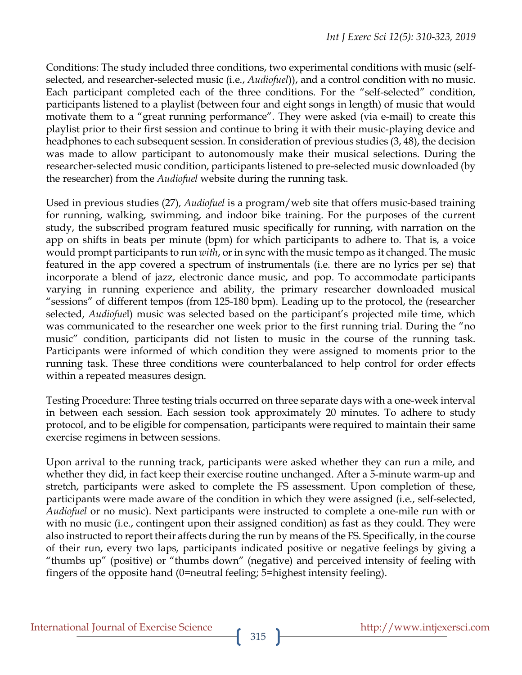Conditions: The study included three conditions, two experimental conditions with music (selfselected, and researcher-selected music (i.e., *Audiofuel*)), and a control condition with no music. Each participant completed each of the three conditions. For the "self-selected" condition, participants listened to a playlist (between four and eight songs in length) of music that would motivate them to a "great running performance". They were asked (via e-mail) to create this playlist prior to their first session and continue to bring it with their music-playing device and headphones to each subsequent session. In consideration of previous studies (3, 48), the decision was made to allow participant to autonomously make their musical selections. During the researcher-selected music condition, participants listened to pre-selected music downloaded (by the researcher) from the *Audiofuel* website during the running task.

Used in previous studies (27), *Audiofuel* is a program/web site that offers music-based training for running, walking, swimming, and indoor bike training. For the purposes of the current study, the subscribed program featured music specifically for running, with narration on the app on shifts in beats per minute (bpm) for which participants to adhere to. That is, a voice would prompt participants to run *with*, or in sync with the music tempo as it changed. The music featured in the app covered a spectrum of instrumentals (i.e. there are no lyrics per se) that incorporate a blend of jazz, electronic dance music, and pop. To accommodate participants varying in running experience and ability, the primary researcher downloaded musical "sessions" of different tempos (from 125-180 bpm). Leading up to the protocol, the (researcher selected, *Audiofue*l) music was selected based on the participant's projected mile time, which was communicated to the researcher one week prior to the first running trial. During the "no music" condition, participants did not listen to music in the course of the running task. Participants were informed of which condition they were assigned to moments prior to the running task. These three conditions were counterbalanced to help control for order effects within a repeated measures design.

Testing Procedure: Three testing trials occurred on three separate days with a one-week interval in between each session. Each session took approximately 20 minutes. To adhere to study protocol, and to be eligible for compensation, participants were required to maintain their same exercise regimens in between sessions.

Upon arrival to the running track, participants were asked whether they can run a mile, and whether they did, in fact keep their exercise routine unchanged. After a 5-minute warm-up and stretch, participants were asked to complete the FS assessment. Upon completion of these, participants were made aware of the condition in which they were assigned (i.e., self-selected, *Audiofuel* or no music). Next participants were instructed to complete a one-mile run with or with no music (i.e., contingent upon their assigned condition) as fast as they could. They were also instructed to report their affects during the run by means of the FS. Specifically, in the course of their run, every two laps, participants indicated positive or negative feelings by giving a "thumbs up" (positive) or "thumbs down" (negative) and perceived intensity of feeling with fingers of the opposite hand (0=neutral feeling; 5=highest intensity feeling).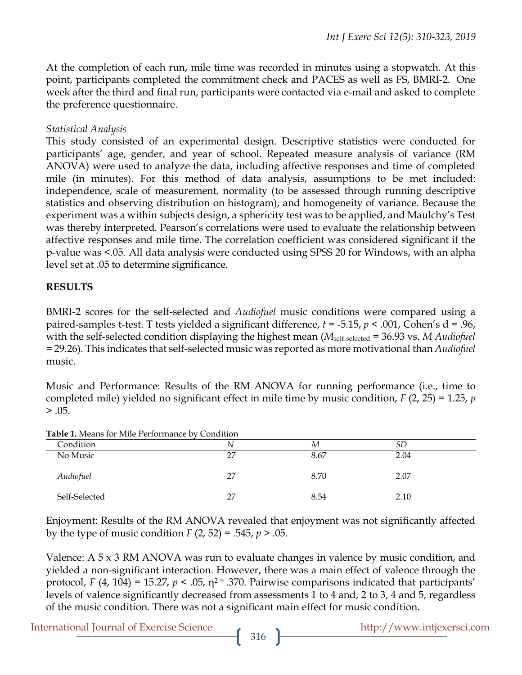At the completion of each run, mile time was recorded in minutes using a stopwatch. At this point, participants completed the commitment check and PACES as well as FS, BMRI-2. One week after the third and final run, participants were contacted via e-mail and asked to complete the preference questionnaire.

#### *Statistical Analysis*

This study consisted of an experimental design. Descriptive statistics were conducted for participants' age, gender, and year of school. Repeated measure analysis of variance (RM ANOVA) were used to analyze the data, including affective responses and time of completed mile (in minutes). For this method of data analysis, assumptions to be met included: independence, scale of measurement, normality (to be assessed through running descriptive statistics and observing distribution on histogram), and homogeneity of variance. Because the experiment was a within subjects design, a sphericity test was to be applied, and Maulchy's Test was thereby interpreted. Pearson's correlations were used to evaluate the relationship between affective responses and mile time. The correlation coefficient was considered significant if the p-value was <.05. All data analysis were conducted using SPSS 20 for Windows, with an alpha level set at .05 to determine significance.

#### **RESULTS**

BMRI-2 scores for the self-selected and *Audiofuel* music conditions were compared using a paired-samples t-test. T tests yielded a significant difference, *t* = -5.15, *p* < .001, Cohen's d = .96, with the self-selected condition displaying the highest mean (*M*<sub>self-selected</sub> = 36.93 vs. *M Audiofuel* = 29.26). This indicates that self-selected music was reported as more motivational than *Audiofuel*  music.

Music and Performance: Results of the RM ANOVA for running performance (i.e., time to completed mile) yielded no significant effect in mile time by music condition, *F* (2, 25) = 1.25, *p*  $> .05.$ 

| <b>Table 1.</b> Means for Mile Performance by Condition |    |      |      |  |
|---------------------------------------------------------|----|------|------|--|
| Condition                                               | Ν  | М    |      |  |
| No Music                                                | 27 | 8.67 | 2.04 |  |
| Audiofuel                                               | 27 | 8.70 | 2.07 |  |
| Self-Selected                                           | 27 | 8.54 | 2.10 |  |

**Table 1.** Means for Mile Performance by Condition

Enjoyment: Results of the RM ANOVA revealed that enjoyment was not significantly affected by the type of music condition *F* (2, 52) = .545, *p* > .05.

Valence: A 5 x 3 RM ANOVA was run to evaluate changes in valence by music condition, and yielded a non-significant interaction. However, there was a main effect of valence through the protocol, *F* (4, 104) = 15.27,  $p < .05$ ,  $\eta^2 = .370$ . Pairwise comparisons indicated that participants' levels of valence significantly decreased from assessments 1 to 4 and, 2 to 3, 4 and 5, regardless of the music condition. There was not a significant main effect for music condition.

International Journal of Exercise Science http://www.intjexersci.com http://www.intjexersci.com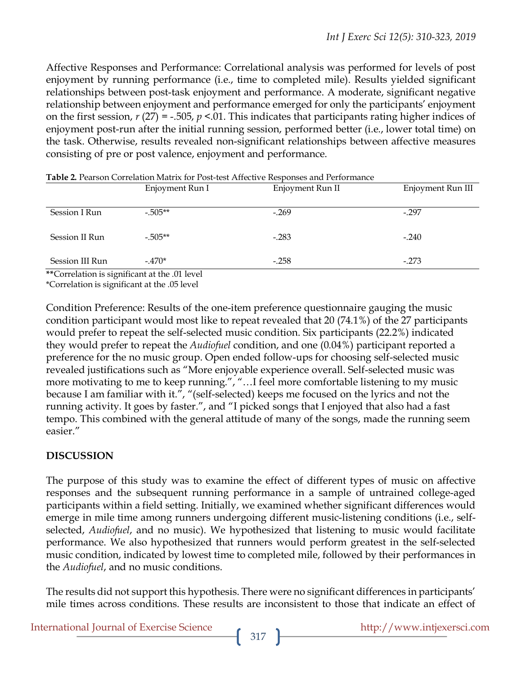Affective Responses and Performance: Correlational analysis was performed for levels of post enjoyment by running performance (i.e., time to completed mile). Results yielded significant relationships between post-task enjoyment and performance. A moderate, significant negative relationship between enjoyment and performance emerged for only the participants' enjoyment on the first session,  $r(27) = -.505$ ,  $p < .01$ . This indicates that participants rating higher indices of enjoyment post-run after the initial running session, performed better (i.e., lower total time) on the task. Otherwise, results revealed non-significant relationships between affective measures consisting of pre or post valence, enjoyment and performance.

|                                   | Enjoyment Run I | Enjoyment Run II | Enjoyment Run III |
|-----------------------------------|-----------------|------------------|-------------------|
| Session I Run                     | $-505**$        | $-.269$          | $-.297$           |
| Session II Run                    | $-.505**$       | $-.283$          | $-.240$           |
| Session III Run                   | $-.470*$        | $-.258$          | $-0.273$          |
| $*$ $\mathcal{C}_{\text{cutoff}}$ |                 |                  |                   |

**Table 2.** Pearson Correlation Matrix for Post-test Affective Responses and Performance

**\*\***Correlation is significant at the .01 level

\*Correlation is significant at the .05 level

Condition Preference: Results of the one-item preference questionnaire gauging the music condition participant would most like to repeat revealed that 20 (74.1%) of the 27 participants would prefer to repeat the self-selected music condition. Six participants (22.2%) indicated they would prefer to repeat the *Audiofuel* condition, and one (0.04%) participant reported a preference for the no music group. Open ended follow-ups for choosing self-selected music revealed justifications such as "More enjoyable experience overall. Self-selected music was more motivating to me to keep running.", "…I feel more comfortable listening to my music because I am familiar with it.", "(self-selected) keeps me focused on the lyrics and not the running activity. It goes by faster.", and "I picked songs that I enjoyed that also had a fast tempo. This combined with the general attitude of many of the songs, made the running seem easier."

#### **DISCUSSION**

The purpose of this study was to examine the effect of different types of music on affective responses and the subsequent running performance in a sample of untrained college-aged participants within a field setting. Initially, we examined whether significant differences would emerge in mile time among runners undergoing different music-listening conditions (i.e., selfselected, *Audiofuel*, and no music). We hypothesized that listening to music would facilitate performance. We also hypothesized that runners would perform greatest in the self-selected music condition, indicated by lowest time to completed mile, followed by their performances in the *Audiofuel*, and no music conditions.

The results did not support this hypothesis. There were no significant differences in participants' mile times across conditions. These results are inconsistent to those that indicate an effect of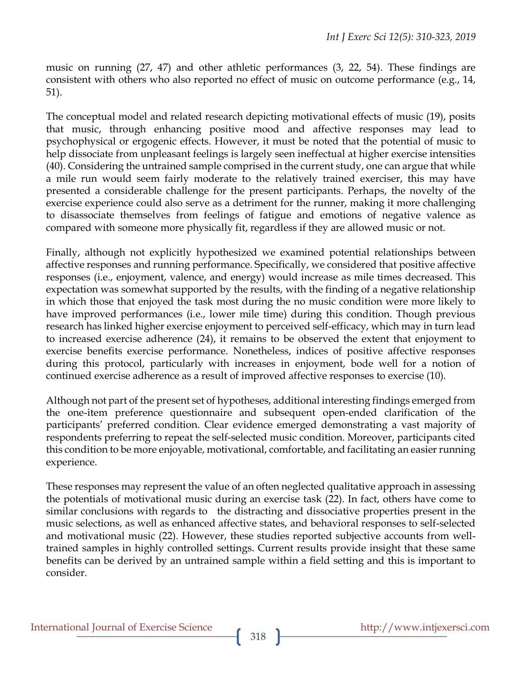music on running (27, 47) and other athletic performances (3, 22, 54). These findings are consistent with others who also reported no effect of music on outcome performance (e.g., 14, 51).

The conceptual model and related research depicting motivational effects of music (19), posits that music, through enhancing positive mood and affective responses may lead to psychophysical or ergogenic effects. However, it must be noted that the potential of music to help dissociate from unpleasant feelings is largely seen ineffectual at higher exercise intensities (40). Considering the untrained sample comprised in the current study, one can argue that while a mile run would seem fairly moderate to the relatively trained exerciser, this may have presented a considerable challenge for the present participants. Perhaps, the novelty of the exercise experience could also serve as a detriment for the runner, making it more challenging to disassociate themselves from feelings of fatigue and emotions of negative valence as compared with someone more physically fit, regardless if they are allowed music or not.

Finally, although not explicitly hypothesized we examined potential relationships between affective responses and running performance. Specifically, we considered that positive affective responses (i.e., enjoyment, valence, and energy) would increase as mile times decreased. This expectation was somewhat supported by the results, with the finding of a negative relationship in which those that enjoyed the task most during the no music condition were more likely to have improved performances (i.e., lower mile time) during this condition. Though previous research has linked higher exercise enjoyment to perceived self-efficacy, which may in turn lead to increased exercise adherence (24), it remains to be observed the extent that enjoyment to exercise benefits exercise performance. Nonetheless, indices of positive affective responses during this protocol, particularly with increases in enjoyment, bode well for a notion of continued exercise adherence as a result of improved affective responses to exercise (10).

Although not part of the present set of hypotheses, additional interesting findings emerged from the one-item preference questionnaire and subsequent open-ended clarification of the participants' preferred condition. Clear evidence emerged demonstrating a vast majority of respondents preferring to repeat the self-selected music condition. Moreover, participants cited this condition to be more enjoyable, motivational, comfortable, and facilitating an easier running experience.

These responses may represent the value of an often neglected qualitative approach in assessing the potentials of motivational music during an exercise task (22). In fact, others have come to similar conclusions with regards to the distracting and dissociative properties present in the music selections, as well as enhanced affective states, and behavioral responses to self-selected and motivational music (22). However, these studies reported subjective accounts from welltrained samples in highly controlled settings. Current results provide insight that these same benefits can be derived by an untrained sample within a field setting and this is important to consider.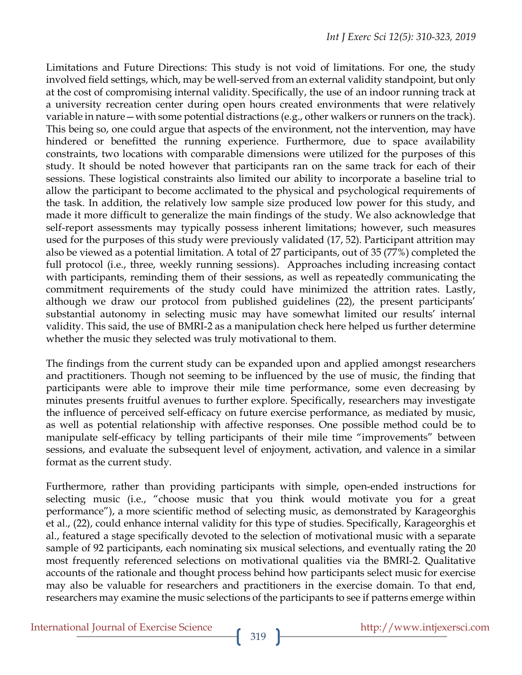Limitations and Future Directions: This study is not void of limitations. For one, the study involved field settings, which, may be well-served from an external validity standpoint, but only at the cost of compromising internal validity. Specifically, the use of an indoor running track at a university recreation center during open hours created environments that were relatively variable in nature—with some potential distractions (e.g., other walkers or runners on the track). This being so, one could argue that aspects of the environment, not the intervention, may have hindered or benefitted the running experience. Furthermore, due to space availability constraints, two locations with comparable dimensions were utilized for the purposes of this study. It should be noted however that participants ran on the same track for each of their sessions. These logistical constraints also limited our ability to incorporate a baseline trial to allow the participant to become acclimated to the physical and psychological requirements of the task. In addition, the relatively low sample size produced low power for this study, and made it more difficult to generalize the main findings of the study. We also acknowledge that self-report assessments may typically possess inherent limitations; however, such measures used for the purposes of this study were previously validated (17, 52). Participant attrition may also be viewed as a potential limitation. A total of 27 participants, out of 35 (77%) completed the full protocol (i.e., three, weekly running sessions). Approaches including increasing contact with participants, reminding them of their sessions, as well as repeatedly communicating the commitment requirements of the study could have minimized the attrition rates. Lastly, although we draw our protocol from published guidelines (22), the present participants' substantial autonomy in selecting music may have somewhat limited our results' internal validity. This said, the use of BMRI-2 as a manipulation check here helped us further determine whether the music they selected was truly motivational to them.

The findings from the current study can be expanded upon and applied amongst researchers and practitioners. Though not seeming to be influenced by the use of music, the finding that participants were able to improve their mile time performance, some even decreasing by minutes presents fruitful avenues to further explore. Specifically, researchers may investigate the influence of perceived self-efficacy on future exercise performance, as mediated by music, as well as potential relationship with affective responses. One possible method could be to manipulate self-efficacy by telling participants of their mile time "improvements" between sessions, and evaluate the subsequent level of enjoyment, activation, and valence in a similar format as the current study.

Furthermore, rather than providing participants with simple, open-ended instructions for selecting music (i.e., "choose music that you think would motivate you for a great performance"), a more scientific method of selecting music, as demonstrated by Karageorghis et al., (22), could enhance internal validity for this type of studies. Specifically, Karageorghis et al., featured a stage specifically devoted to the selection of motivational music with a separate sample of 92 participants, each nominating six musical selections, and eventually rating the 20 most frequently referenced selections on motivational qualities via the BMRI-2. Qualitative accounts of the rationale and thought process behind how participants select music for exercise may also be valuable for researchers and practitioners in the exercise domain. To that end, researchers may examine the music selections of the participants to see if patterns emerge within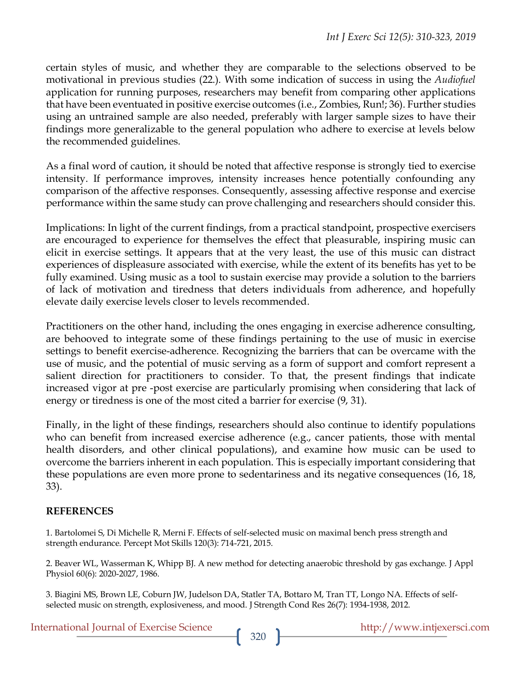certain styles of music, and whether they are comparable to the selections observed to be motivational in previous studies (22.). With some indication of success in using the *Audiofuel*  application for running purposes, researchers may benefit from comparing other applications that have been eventuated in positive exercise outcomes (i.e., Zombies, Run!; 36). Further studies using an untrained sample are also needed, preferably with larger sample sizes to have their findings more generalizable to the general population who adhere to exercise at levels below the recommended guidelines.

As a final word of caution, it should be noted that affective response is strongly tied to exercise intensity. If performance improves, intensity increases hence potentially confounding any comparison of the affective responses. Consequently, assessing affective response and exercise performance within the same study can prove challenging and researchers should consider this.

Implications: In light of the current findings, from a practical standpoint, prospective exercisers are encouraged to experience for themselves the effect that pleasurable, inspiring music can elicit in exercise settings. It appears that at the very least, the use of this music can distract experiences of displeasure associated with exercise, while the extent of its benefits has yet to be fully examined. Using music as a tool to sustain exercise may provide a solution to the barriers of lack of motivation and tiredness that deters individuals from adherence, and hopefully elevate daily exercise levels closer to levels recommended.

Practitioners on the other hand, including the ones engaging in exercise adherence consulting, are behooved to integrate some of these findings pertaining to the use of music in exercise settings to benefit exercise-adherence. Recognizing the barriers that can be overcame with the use of music, and the potential of music serving as a form of support and comfort represent a salient direction for practitioners to consider. To that, the present findings that indicate increased vigor at pre -post exercise are particularly promising when considering that lack of energy or tiredness is one of the most cited a barrier for exercise (9, 31).

Finally, in the light of these findings, researchers should also continue to identify populations who can benefit from increased exercise adherence (e.g., cancer patients, those with mental health disorders, and other clinical populations), and examine how music can be used to overcome the barriers inherent in each population. This is especially important considering that these populations are even more prone to sedentariness and its negative consequences (16, 18, 33).

#### **REFERENCES**

1. Bartolomei S, Di Michelle R, Merni F. Effects of self-selected music on maximal bench press strength and strength endurance. Percept Mot Skills 120(3): 714-721, 2015.

2. Beaver WL, Wasserman K, Whipp BJ. A new method for detecting anaerobic threshold by gas exchange. J Appl Physiol 60(6): 2020-2027, 1986.

3. Biagini MS, Brown LE, Coburn JW, Judelson DA, Statler TA, Bottaro M, Tran TT, Longo NA. Effects of selfselected music on strength, explosiveness, and mood. J Strength Cond Res 26(7): 1934-1938, 2012.

| <b>International Journal of Exercise Science</b> |  |
|--------------------------------------------------|--|
|--------------------------------------------------|--|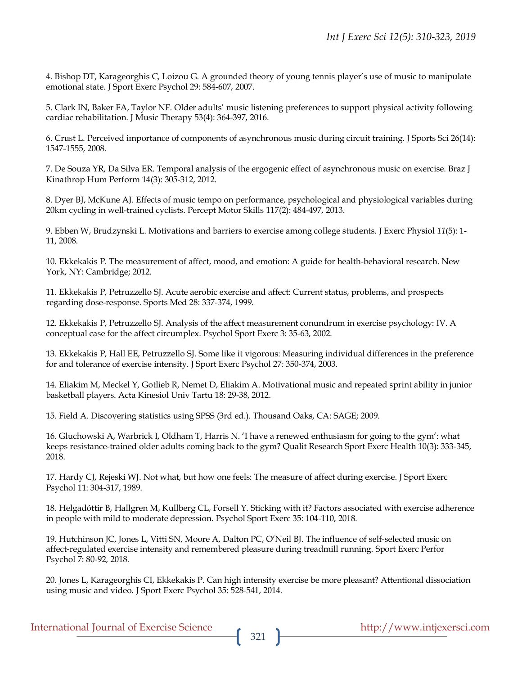4. Bishop DT, Karageorghis C, Loizou G. A grounded theory of young tennis player's use of music to manipulate emotional state. J Sport Exerc Psychol 29: 584-607, 2007.

5. Clark IN, Baker FA, Taylor NF. Older adults' music listening preferences to support physical activity following cardiac rehabilitation. J Music Therapy 53(4): 364-397, 2016.

6. Crust L. Perceived importance of components of asynchronous music during circuit training. J Sports Sci 26(14): 1547-1555, 2008.

7. De Souza YR, Da Silva ER. Temporal analysis of the ergogenic effect of asynchronous music on exercise. Braz J Kinathrop Hum Perform 14(3): 305-312, 2012.

8. Dyer BJ, McKune AJ. Effects of music tempo on performance, psychological and physiological variables during 20km cycling in well-trained cyclists. Percept Motor Skills 117(2): 484-497, 2013.

9. Ebben W, Brudzynski L. Motivations and barriers to exercise among college students. J Exerc Physiol *11*(5): 1- 11, 2008.

10. Ekkekakis P. The measurement of affect, mood, and emotion: A guide for health-behavioral research. New York, NY: Cambridge; 2012.

11. Ekkekakis P, Petruzzello SJ. Acute aerobic exercise and affect: Current status, problems, and prospects regarding dose-response. Sports Med 28: 337-374, 1999.

12. Ekkekakis P, Petruzzello SJ. Analysis of the affect measurement conundrum in exercise psychology: IV. A conceptual case for the affect circumplex. Psychol Sport Exerc 3: 35-63, 2002.

13. Ekkekakis P, Hall EE, Petruzzello SJ. Some like it vigorous: Measuring individual differences in the preference for and tolerance of exercise intensity. J Sport Exerc Psychol 27*:* 350-374, 2003.

14. Eliakim M, Meckel Y, Gotlieb R, Nemet D, Eliakim A. Motivational music and repeated sprint ability in junior basketball players. Acta Kinesiol Univ Tartu 18: 29-38, 2012.

15. Field A. Discovering statistics using SPSS (3rd ed.). Thousand Oaks, CA: SAGE; 2009.

16. Gluchowski A, Warbrick I, Oldham T, Harris N. 'I have a renewed enthusiasm for going to the gym': what keeps resistance-trained older adults coming back to the gym? Qualit Research Sport Exerc Health 10(3): 333-345, 2018.

17. Hardy CJ, Rejeski WJ. Not what, but how one feels: The measure of affect during exercise. J Sport Exerc Psychol 11: 304-317, 1989.

18. Helgadóttir B, Hallgren M, Kullberg CL, Forsell Y. Sticking with it? Factors associated with exercise adherence in people with mild to moderate depression. Psychol Sport Exerc 35: 104-110, 2018.

19. Hutchinson JC, Jones L, Vitti SN, Moore A, Dalton PC, O'Neil BJ. The influence of self-selected music on affect-regulated exercise intensity and remembered pleasure during treadmill running. Sport Exerc Perfor Psychol 7: 80-92, 2018.

20. Jones L, Karageorghis CI, Ekkekakis P. Can high intensity exercise be more pleasant? Attentional dissociation using music and video. J Sport Exerc Psychol 35: 528-541, 2014.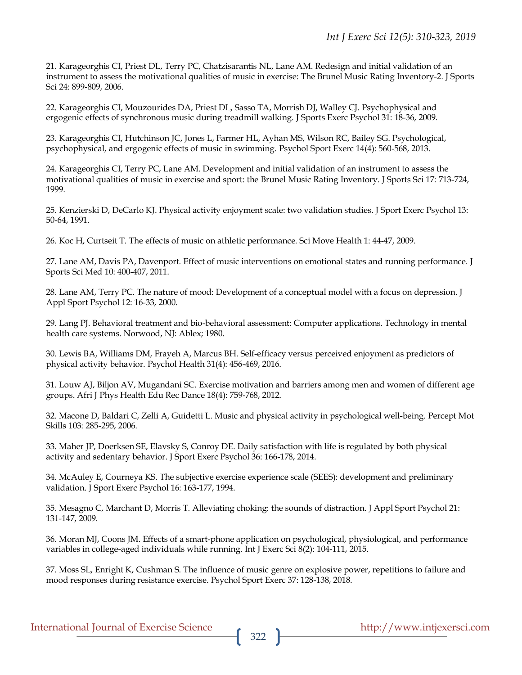21. Karageorghis CI, Priest DL, Terry PC, Chatzisarantis NL, Lane AM. Redesign and initial validation of an instrument to assess the motivational qualities of music in exercise: The Brunel Music Rating Inventory-2. J Sports Sci 24: 899-809, 2006.

22. Karageorghis CI, Mouzourides DA, Priest DL, Sasso TA, Morrish DJ, Walley CJ. Psychophysical and ergogenic effects of synchronous music during treadmill walking. J Sports Exerc Psychol 31: 18-36, 2009.

23. Karageorghis CI, Hutchinson JC, Jones L, Farmer HL, Ayhan MS, Wilson RC, Bailey SG. Psychological, psychophysical, and ergogenic effects of music in swimming. Psychol Sport Exerc 14(4): 560-568, 2013.

24. Karageorghis CI, Terry PC, Lane AM. Development and initial validation of an instrument to assess the motivational qualities of music in exercise and sport: the Brunel Music Rating Inventory. J Sports Sci 17*:* 713-724, 1999.

25. Kenzierski D, DeCarlo KJ. Physical activity enjoyment scale: two validation studies. J Sport Exerc Psychol 13: 50-64, 1991.

26. Koc H, Curtseit T. The effects of music on athletic performance. Sci Move Health 1: 44-47, 2009.

27. Lane AM, Davis PA, Davenport. Effect of music interventions on emotional states and running performance. J Sports Sci Med 10: 400-407, 2011.

28. Lane AM, Terry PC. The nature of mood: Development of a conceptual model with a focus on depression. J Appl Sport Psychol 12: 16-33, 2000.

29. Lang PJ. Behavioral treatment and bio-behavioral assessment: Computer applications. Technology in mental health care systems. Norwood, NJ: Ablex; 1980.

30. Lewis BA, Williams DM, Frayeh A, Marcus BH. Self-efficacy versus perceived enjoyment as predictors of physical activity behavior. Psychol Health 31(4): 456-469, 2016.

31. Louw AJ, Biljon AV, Mugandani SC. Exercise motivation and barriers among men and women of different age groups. Afri J Phys Health Edu Rec Dance 18(4): 759-768, 2012.

32. Macone D, Baldari C, Zelli A, Guidetti L. Music and physical activity in psychological well-being. Percept Mot Skills 103: 285-295, 2006.

33. Maher JP, Doerksen SE, Elavsky S, Conroy DE. Daily satisfaction with life is regulated by both physical activity and sedentary behavior. J Sport Exerc Psychol 36: 166-178, 2014.

34. McAuley E, Courneya KS. The subjective exercise experience scale (SEES): development and preliminary validation. J Sport Exerc Psychol 16: 163-177, 1994.

35. Mesagno C, Marchant D, Morris T. Alleviating choking: the sounds of distraction. J Appl Sport Psychol 21: 131-147, 2009.

36. Moran MJ, Coons JM. Effects of a smart-phone application on psychological, physiological, and performance variables in college-aged individuals while running. Int J Exerc Sci 8(2): 104-111, 2015.

37. Moss SL, Enright K, Cushman S. The influence of music genre on explosive power, repetitions to failure and mood responses during resistance exercise. Psychol Sport Exerc 37: 128-138, 2018.